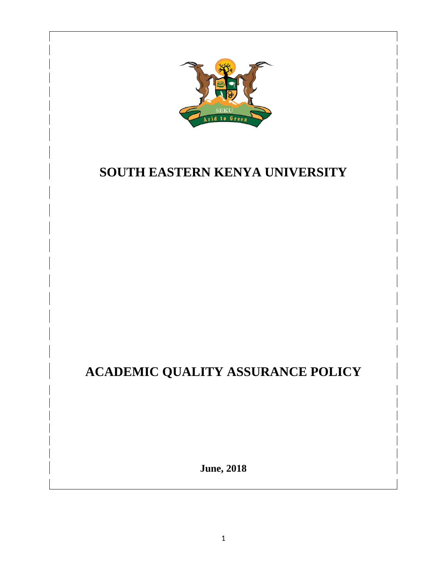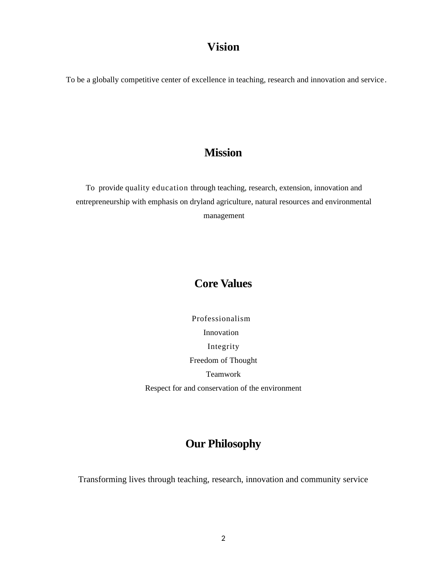# <span id="page-1-1"></span>**Vision**

To be a globally competitive center of excellence in teaching, research and innovation and service.

## <span id="page-1-0"></span>**Mission**

To provide quality education through teaching, research, extension, innovation and entrepreneurship with emphasis on dryland agriculture, natural resources and environmental management

# <span id="page-1-2"></span>**Core Values**

Professionalism Innovation Integrity Freedom of Thought Teamwork Respect for and conservation of the environment

# <span id="page-1-3"></span>**Our Philosophy**

Transforming lives through teaching, research, innovation and community service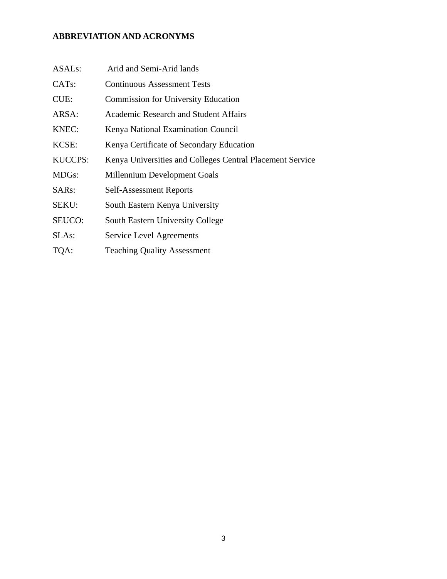## <span id="page-2-0"></span>**ABBREVIATION AND ACRONYMS**

| ASAL <sub>s</sub> : | Arid and Semi-Arid lands                                  |
|---------------------|-----------------------------------------------------------|
| CAT <sub>s</sub> :  | <b>Continuous Assessment Tests</b>                        |
| CUE:                | <b>Commission for University Education</b>                |
| ARSA:               | <b>Academic Research and Student Affairs</b>              |
| KNEC:               | Kenya National Examination Council                        |
| KCSE:               | Kenya Certificate of Secondary Education                  |
| <b>KUCCPS:</b>      | Kenya Universities and Colleges Central Placement Service |
| MDGs:               | Millennium Development Goals                              |
| SARs:               | <b>Self-Assessment Reports</b>                            |
| SEKU:               | South Eastern Kenya University                            |
| SEUCO:              | South Eastern University College                          |
| SLAs:               | <b>Service Level Agreements</b>                           |
| TQA:                | <b>Teaching Quality Assessment</b>                        |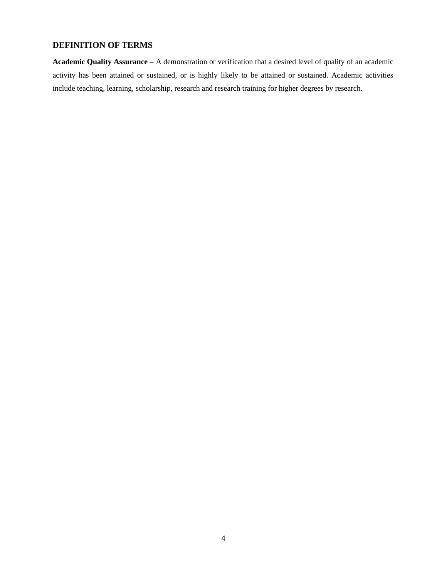## <span id="page-3-0"></span>**DEFINITION OF TERMS**

**Academic Quality Assurance –** A demonstration or verification that a desired level of quality of an academic activity has been attained or sustained, or is highly likely to be attained or sustained. Academic activities include teaching, learning, scholarship, research and research training for higher degrees by research.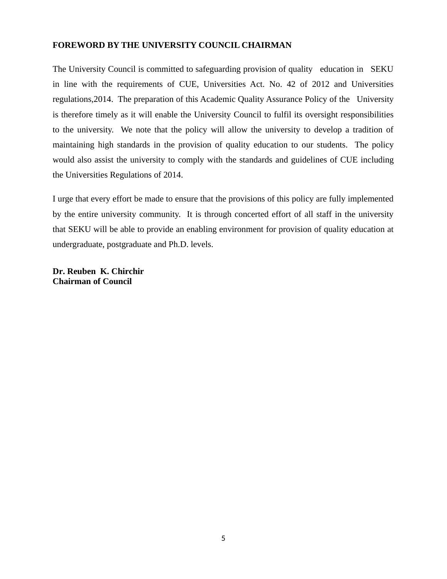## <span id="page-4-0"></span>**FOREWORD BY THE UNIVERSITY COUNCIL CHAIRMAN**

The University Council is committed to safeguarding provision of quality education in SEKU in line with the requirements of CUE, Universities Act. No. 42 of 2012 and Universities regulations,2014. The preparation of this Academic Quality Assurance Policy of the University is therefore timely as it will enable the University Council to fulfil its oversight responsibilities to the university. We note that the policy will allow the university to develop a tradition of maintaining high standards in the provision of quality education to our students. The policy would also assist the university to comply with the standards and guidelines of CUE including the Universities Regulations of 2014.

I urge that every effort be made to ensure that the provisions of this policy are fully implemented by the entire university community. It is through concerted effort of all staff in the university that SEKU will be able to provide an enabling environment for provision of quality education at undergraduate, postgraduate and Ph.D. levels.

**Dr. Reuben K. Chirchir Chairman of Council**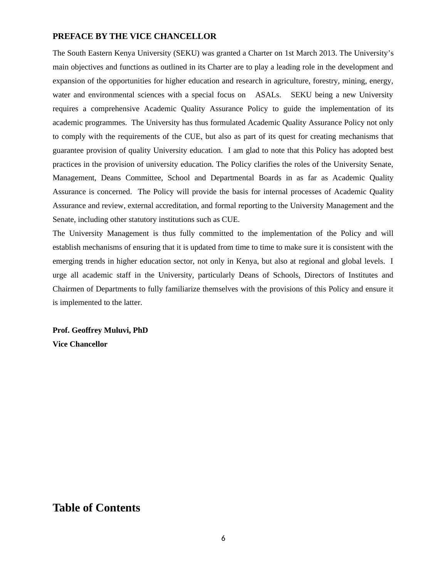#### <span id="page-5-0"></span>**PREFACE BY THE VICE CHANCELLOR**

The South Eastern Kenya University (SEKU) was granted a Charter on 1st March 2013. The University's main objectives and functions as outlined in its Charter are to play a leading role in the development and expansion of the opportunities for higher education and research in agriculture, forestry, mining, energy, water and environmental sciences with a special focus on ASALs. SEKU being a new University requires a comprehensive Academic Quality Assurance Policy to guide the implementation of its academic programmes. The University has thus formulated Academic Quality Assurance Policy not only to comply with the requirements of the CUE, but also as part of its quest for creating mechanisms that guarantee provision of quality University education. I am glad to note that this Policy has adopted best practices in the provision of university education. The Policy clarifies the roles of the University Senate, Management, Deans Committee, School and Departmental Boards in as far as Academic Quality Assurance is concerned. The Policy will provide the basis for internal processes of Academic Quality Assurance and review, external accreditation, and formal reporting to the University Management and the Senate, including other statutory institutions such as CUE.

The University Management is thus fully committed to the implementation of the Policy and will establish mechanisms of ensuring that it is updated from time to time to make sure it is consistent with the emerging trends in higher education sector, not only in Kenya, but also at regional and global levels. I urge all academic staff in the University, particularly Deans of Schools, Directors of Institutes and Chairmen of Departments to fully familiarize themselves with the provisions of this Policy and ensure it is implemented to the latter.

**Prof. Geoffrey Muluvi, PhD Vice Chancellor**

# <span id="page-5-1"></span>**Table of Contents**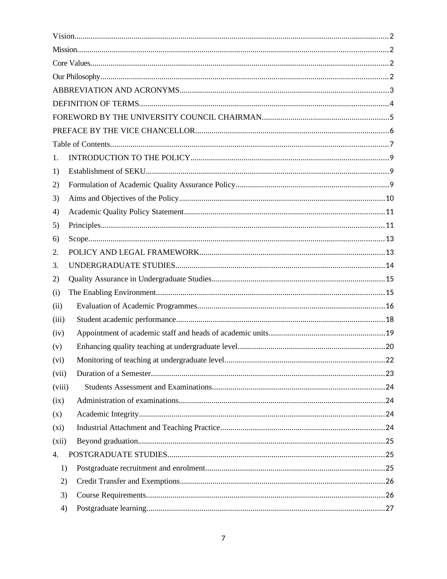| 1.     |  |  |  |  |  |
|--------|--|--|--|--|--|
| 1)     |  |  |  |  |  |
| 2)     |  |  |  |  |  |
| 3)     |  |  |  |  |  |
| 4)     |  |  |  |  |  |
| 5)     |  |  |  |  |  |
| 6)     |  |  |  |  |  |
| 2.     |  |  |  |  |  |
| З.     |  |  |  |  |  |
| 2)     |  |  |  |  |  |
| (i)    |  |  |  |  |  |
| (ii)   |  |  |  |  |  |
| (iii)  |  |  |  |  |  |
| (iv)   |  |  |  |  |  |
| (v)    |  |  |  |  |  |
| (vi)   |  |  |  |  |  |
| (vii)  |  |  |  |  |  |
| (viii) |  |  |  |  |  |
| (ix)   |  |  |  |  |  |
| (x)    |  |  |  |  |  |
| (xi)   |  |  |  |  |  |
| (xii)  |  |  |  |  |  |
| 4.     |  |  |  |  |  |
| 1)     |  |  |  |  |  |
| 2)     |  |  |  |  |  |
| 3)     |  |  |  |  |  |
| 4)     |  |  |  |  |  |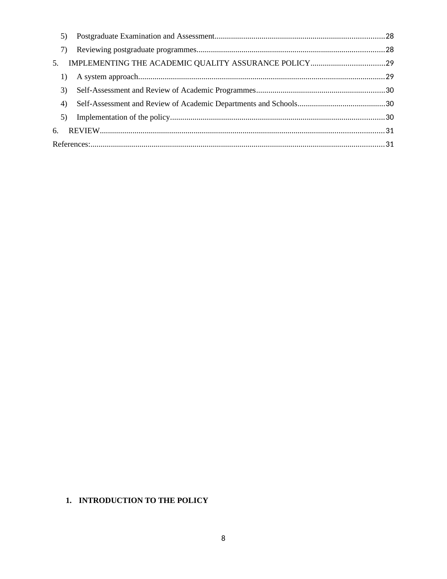|    | 5) |  |
|----|----|--|
|    | 7) |  |
| 5. |    |  |
|    | 1) |  |
|    | 3) |  |
|    | 4) |  |
|    | 5) |  |
|    |    |  |
|    |    |  |

## <span id="page-7-0"></span>1. INTRODUCTION TO THE POLICY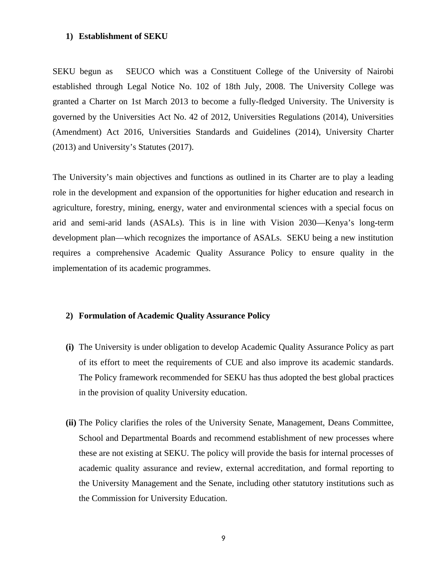#### <span id="page-8-0"></span>**1) Establishment of SEKU**

SEKU begun as SEUCO which was a Constituent College of the University of Nairobi established through Legal Notice No. 102 of 18th July, 2008. The University College was granted a Charter on 1st March 2013 to become a fully-fledged University. The University is governed by the Universities Act No. 42 of 2012, Universities Regulations (2014), Universities (Amendment) Act 2016, Universities Standards and Guidelines (2014), University Charter (2013) and University's Statutes (2017).

The University's main objectives and functions as outlined in its Charter are to play a leading role in the development and expansion of the opportunities for higher education and research in agriculture, forestry, mining, energy, water and environmental sciences with a special focus on arid and semi-arid lands (ASALs). This is in line with Vision 2030—Kenya's long-term development plan—which recognizes the importance of ASALs. SEKU being a new institution requires a comprehensive Academic Quality Assurance Policy to ensure quality in the implementation of its academic programmes.

#### <span id="page-8-1"></span>**2) Formulation of Academic Quality Assurance Policy**

- **(i)** The University is under obligation to develop Academic Quality Assurance Policy as part of its effort to meet the requirements of CUE and also improve its academic standards. The Policy framework recommended for SEKU has thus adopted the best global practices in the provision of quality University education.
- **(ii)** The Policy clarifies the roles of the University Senate, Management, Deans Committee, School and Departmental Boards and recommend establishment of new processes where these are not existing at SEKU. The policy will provide the basis for internal processes of academic quality assurance and review, external accreditation, and formal reporting to the University Management and the Senate, including other statutory institutions such as the Commission for University Education.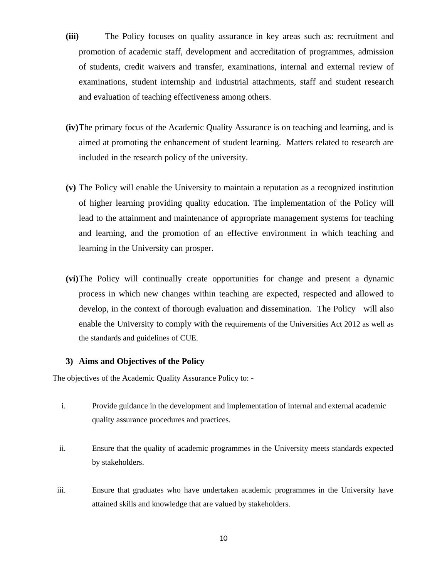- **(iii)** The Policy focuses on quality assurance in key areas such as: recruitment and promotion of academic staff, development and accreditation of programmes, admission of students, credit waivers and transfer, examinations, internal and external review of examinations, student internship and industrial attachments, staff and student research and evaluation of teaching effectiveness among others.
- **(iv)**The primary focus of the Academic Quality Assurance is on teaching and learning, and is aimed at promoting the enhancement of student learning. Matters related to research are included in the research policy of the university.
- **(v)** The Policy will enable the University to maintain a reputation as a recognized institution of higher learning providing quality education. The implementation of the Policy will lead to the attainment and maintenance of appropriate management systems for teaching and learning, and the promotion of an effective environment in which teaching and learning in the University can prosper.
- **(vi)**The Policy will continually create opportunities for change and present a dynamic process in which new changes within teaching are expected, respected and allowed to develop, in the context of thorough evaluation and dissemination. The Policy will also enable the University to comply with the requirements of the Universities Act 2012 as well as the standards and guidelines of CUE.

#### <span id="page-9-0"></span>**3) Aims and Objectives of the Policy**

The objectives of the Academic Quality Assurance Policy to: -

- i. Provide guidance in the development and implementation of internal and external academic quality assurance procedures and practices.
- ii. Ensure that the quality of academic programmes in the University meets standards expected by stakeholders.
- iii. Ensure that graduates who have undertaken academic programmes in the University have attained skills and knowledge that are valued by stakeholders.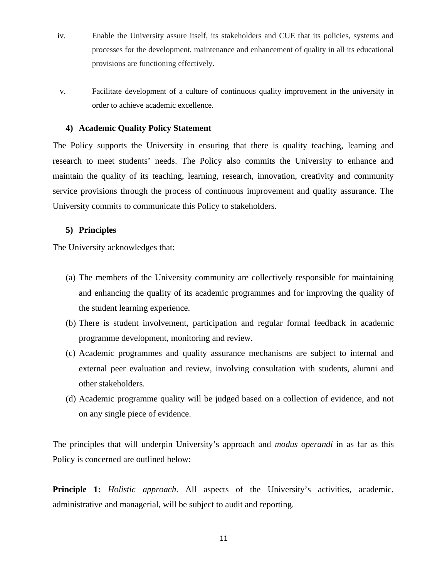- iv. Enable the University assure itself, its stakeholders and CUE that its policies, systems and processes for the development, maintenance and enhancement of quality in all its educational provisions are functioning effectively.
- v. Facilitate development of a culture of continuous quality improvement in the university in order to achieve academic excellence.

#### <span id="page-10-0"></span>**4) Academic Quality Policy Statement**

The Policy supports the University in ensuring that there is quality teaching, learning and research to meet students' needs. The Policy also commits the University to enhance and maintain the quality of its teaching, learning, research, innovation, creativity and community service provisions through the process of continuous improvement and quality assurance. The University commits to communicate this Policy to stakeholders.

#### <span id="page-10-1"></span>**5) Principles**

The University acknowledges that:

- (a) The members of the University community are collectively responsible for maintaining and enhancing the quality of its academic programmes and for improving the quality of the student learning experience.
- (b) There is student involvement, participation and regular formal feedback in academic programme development, monitoring and review.
- (c) Academic programmes and quality assurance mechanisms are subject to internal and external peer evaluation and review, involving consultation with students, alumni and other stakeholders.
- (d) Academic programme quality will be judged based on a collection of evidence, and not on any single piece of evidence.

The principles that will underpin University's approach and *modus operandi* in as far as this Policy is concerned are outlined below:

**Principle 1:** *Holistic approach*. All aspects of the University's activities, academic, administrative and managerial, will be subject to audit and reporting.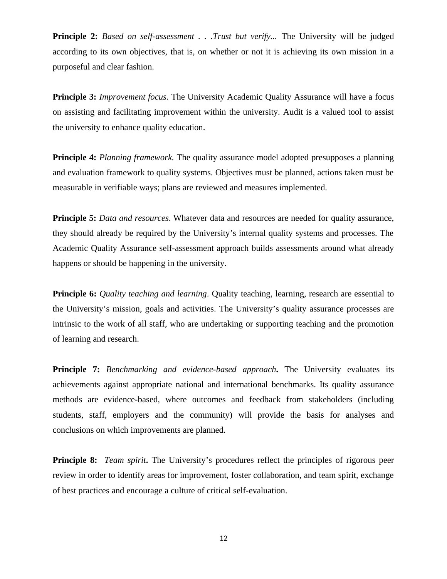**Principle 2:** *Based on self-assessment . . .Trust but verify...* The University will be judged according to its own objectives, that is, on whether or not it is achieving its own mission in a purposeful and clear fashion.

**Principle 3:** *Improvement focus.* The University Academic Quality Assurance will have a focus on assisting and facilitating improvement within the university. Audit is a valued tool to assist the university to enhance quality education.

**Principle 4:** *Planning framework.* The quality assurance model adopted presupposes a planning and evaluation framework to quality systems. Objectives must be planned, actions taken must be measurable in verifiable ways; plans are reviewed and measures implemented.

**Principle 5:** *Data and resources*. Whatever data and resources are needed for quality assurance, they should already be required by the University's internal quality systems and processes. The Academic Quality Assurance self-assessment approach builds assessments around what already happens or should be happening in the university.

**Principle 6:** *Quality teaching and learning*. Quality teaching, learning, research are essential to the University's mission, goals and activities. The University's quality assurance processes are intrinsic to the work of all staff, who are undertaking or supporting teaching and the promotion of learning and research.

**Principle 7:** *Benchmarking and evidence-based approach***.** The University evaluates its achievements against appropriate national and international benchmarks. Its quality assurance methods are evidence-based, where outcomes and feedback from stakeholders (including students, staff, employers and the community) will provide the basis for analyses and conclusions on which improvements are planned.

**Principle 8:** *Team spirit***.** The University's procedures reflect the principles of rigorous peer review in order to identify areas for improvement, foster collaboration, and team spirit, exchange of best practices and encourage a culture of critical self-evaluation.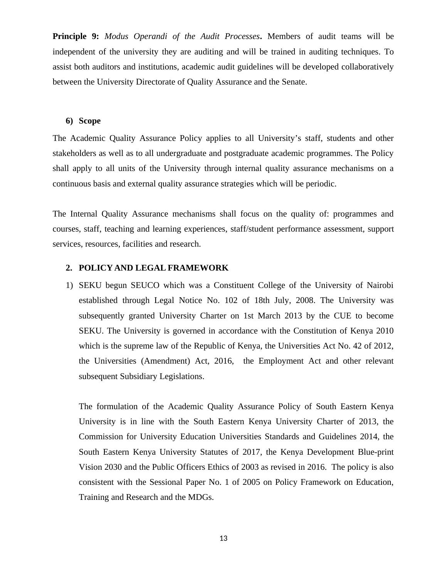**Principle 9:** *Modus Operandi of the Audit Processes***.** Members of audit teams will be independent of the university they are auditing and will be trained in auditing techniques. To assist both auditors and institutions, academic audit guidelines will be developed collaboratively between the University Directorate of Quality Assurance and the Senate.

#### <span id="page-12-0"></span>**6) Scope**

The Academic Quality Assurance Policy applies to all University's staff, students and other stakeholders as well as to all undergraduate and postgraduate academic programmes. The Policy shall apply to all units of the University through internal quality assurance mechanisms on a continuous basis and external quality assurance strategies which will be periodic.

The Internal Quality Assurance mechanisms shall focus on the quality of: programmes and courses, staff, teaching and learning experiences, staff/student performance assessment, support services, resources, facilities and research.

#### <span id="page-12-1"></span>**2. POLICY AND LEGAL FRAMEWORK**

1) SEKU begun SEUCO which was a Constituent College of the University of Nairobi established through Legal Notice No. 102 of 18th July, 2008. The University was subsequently granted University Charter on 1st March 2013 by the CUE to become SEKU. The University is governed in accordance with the Constitution of Kenya 2010 which is the supreme law of the Republic of Kenya, the Universities Act No. 42 of 2012, the Universities (Amendment) Act, 2016, the Employment Act and other relevant subsequent Subsidiary Legislations.

The formulation of the Academic Quality Assurance Policy of South Eastern Kenya University is in line with the South Eastern Kenya University Charter of 2013, the Commission for University Education Universities Standards and Guidelines 2014, the South Eastern Kenya University Statutes of 2017, the Kenya Development Blue-print Vision 2030 and the Public Officers Ethics of 2003 as revised in 2016. The policy is also consistent with the Sessional Paper No. 1 of 2005 on Policy Framework on Education, Training and Research and the MDGs.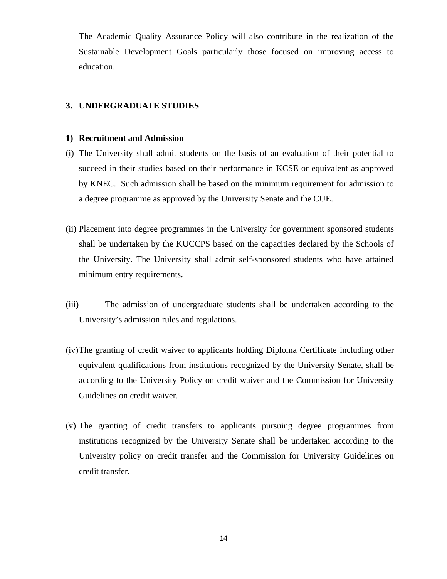The Academic Quality Assurance Policy will also contribute in the realization of the Sustainable Development Goals particularly those focused on improving access to education.

#### <span id="page-13-0"></span>**3. UNDERGRADUATE STUDIES**

#### **1) Recruitment and Admission**

- (i) The University shall admit students on the basis of an evaluation of their potential to succeed in their studies based on their performance in KCSE or equivalent as approved by KNEC. Such admission shall be based on the minimum requirement for admission to a degree programme as approved by the University Senate and the CUE.
- (ii) Placement into degree programmes in the University for government sponsored students shall be undertaken by the KUCCPS based on the capacities declared by the Schools of the University. The University shall admit self-sponsored students who have attained minimum entry requirements.
- (iii) The admission of undergraduate students shall be undertaken according to the University's admission rules and regulations.
- (iv)The granting of credit waiver to applicants holding Diploma Certificate including other equivalent qualifications from institutions recognized by the University Senate, shall be according to the University Policy on credit waiver and the Commission for University Guidelines on credit waiver.
- (v) The granting of credit transfers to applicants pursuing degree programmes from institutions recognized by the University Senate shall be undertaken according to the University policy on credit transfer and the Commission for University Guidelines on credit transfer.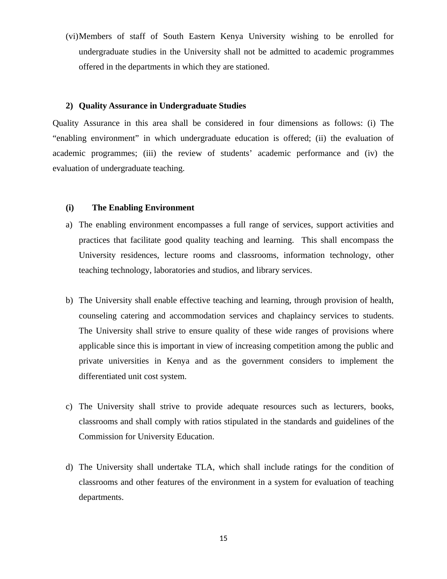(vi)Members of staff of South Eastern Kenya University wishing to be enrolled for undergraduate studies in the University shall not be admitted to academic programmes offered in the departments in which they are stationed.

#### <span id="page-14-0"></span>**2) Quality Assurance in Undergraduate Studies**

Quality Assurance in this area shall be considered in four dimensions as follows: (i) The "enabling environment" in which undergraduate education is offered; (ii) the evaluation of academic programmes; (iii) the review of students' academic performance and (iv) the evaluation of undergraduate teaching.

#### <span id="page-14-1"></span>**(i) The Enabling Environment**

- a) The enabling environment encompasses a full range of services, support activities and practices that facilitate good quality teaching and learning. This shall encompass the University residences, lecture rooms and classrooms, information technology, other teaching technology, laboratories and studios, and library services.
- b) The University shall enable effective teaching and learning, through provision of health, counseling catering and accommodation services and chaplaincy services to students. The University shall strive to ensure quality of these wide ranges of provisions where applicable since this is important in view of increasing competition among the public and private universities in Kenya and as the government considers to implement the differentiated unit cost system.
- c) The University shall strive to provide adequate resources such as lecturers, books, classrooms and shall comply with ratios stipulated in the standards and guidelines of the Commission for University Education.
- d) The University shall undertake TLA, which shall include ratings for the condition of classrooms and other features of the environment in a system for evaluation of teaching departments.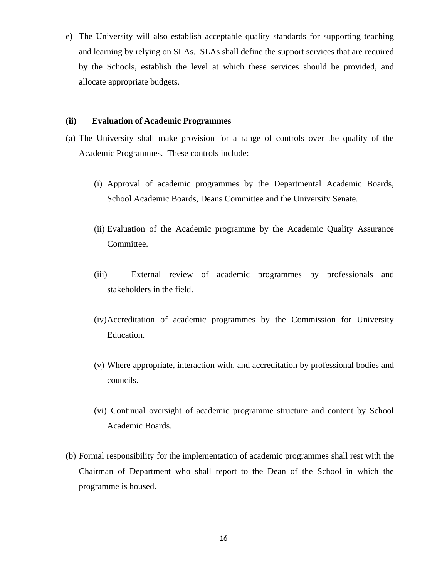e) The University will also establish acceptable quality standards for supporting teaching and learning by relying on SLAs. SLAs shall define the support services that are required by the Schools, establish the level at which these services should be provided, and allocate appropriate budgets.

#### <span id="page-15-0"></span>**(ii) Evaluation of Academic Programmes**

- (a) The University shall make provision for a range of controls over the quality of the Academic Programmes. These controls include:
	- (i) Approval of academic programmes by the Departmental Academic Boards, School Academic Boards, Deans Committee and the University Senate.
	- (ii) Evaluation of the Academic programme by the Academic Quality Assurance Committee.
	- (iii) External review of academic programmes by professionals and stakeholders in the field.
	- (iv)Accreditation of academic programmes by the Commission for University Education.
	- (v) Where appropriate, interaction with, and accreditation by professional bodies and councils.
	- (vi) Continual oversight of academic programme structure and content by School Academic Boards.
- (b) Formal responsibility for the implementation of academic programmes shall rest with the Chairman of Department who shall report to the Dean of the School in which the programme is housed.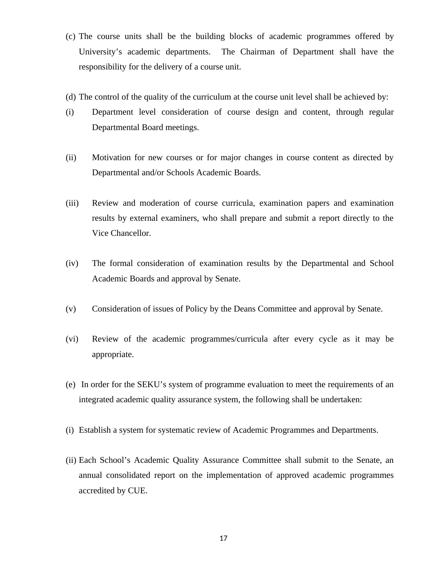- (c) The course units shall be the building blocks of academic programmes offered by University's academic departments. The Chairman of Department shall have the responsibility for the delivery of a course unit.
- (d) The control of the quality of the curriculum at the course unit level shall be achieved by:
- (i) Department level consideration of course design and content, through regular Departmental Board meetings.
- (ii) Motivation for new courses or for major changes in course content as directed by Departmental and/or Schools Academic Boards.
- (iii) Review and moderation of course curricula, examination papers and examination results by external examiners, who shall prepare and submit a report directly to the Vice Chancellor.
- (iv) The formal consideration of examination results by the Departmental and School Academic Boards and approval by Senate.
- (v) Consideration of issues of Policy by the Deans Committee and approval by Senate.
- (vi) Review of the academic programmes/curricula after every cycle as it may be appropriate.
- (e) In order for the SEKU's system of programme evaluation to meet the requirements of an integrated academic quality assurance system, the following shall be undertaken:
- (i) Establish a system for systematic review of Academic Programmes and Departments.
- (ii) Each School's Academic Quality Assurance Committee shall submit to the Senate, an annual consolidated report on the implementation of approved academic programmes accredited by CUE.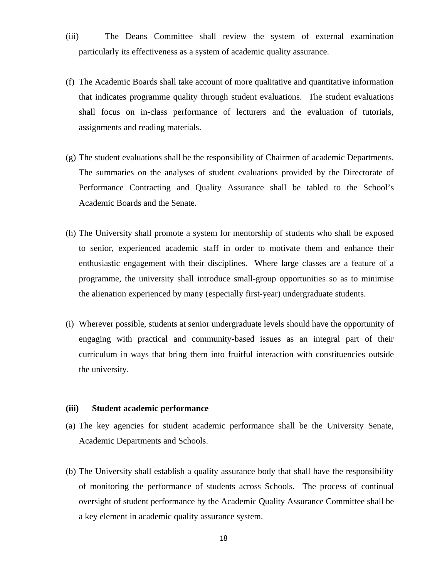- (iii) The Deans Committee shall review the system of external examination particularly its effectiveness as a system of academic quality assurance.
- (f) The Academic Boards shall take account of more qualitative and quantitative information that indicates programme quality through student evaluations. The student evaluations shall focus on in-class performance of lecturers and the evaluation of tutorials, assignments and reading materials.
- (g) The student evaluations shall be the responsibility of Chairmen of academic Departments. The summaries on the analyses of student evaluations provided by the Directorate of Performance Contracting and Quality Assurance shall be tabled to the School's Academic Boards and the Senate.
- (h) The University shall promote a system for mentorship of students who shall be exposed to senior, experienced academic staff in order to motivate them and enhance their enthusiastic engagement with their disciplines. Where large classes are a feature of a programme, the university shall introduce small-group opportunities so as to minimise the alienation experienced by many (especially first-year) undergraduate students.
- (i) Wherever possible, students at senior undergraduate levels should have the opportunity of engaging with practical and community-based issues as an integral part of their curriculum in ways that bring them into fruitful interaction with constituencies outside the university.

#### <span id="page-17-0"></span>**(iii) Student academic performance**

- (a) The key agencies for student academic performance shall be the University Senate, Academic Departments and Schools.
- (b) The University shall establish a quality assurance body that shall have the responsibility of monitoring the performance of students across Schools. The process of continual oversight of student performance by the Academic Quality Assurance Committee shall be a key element in academic quality assurance system.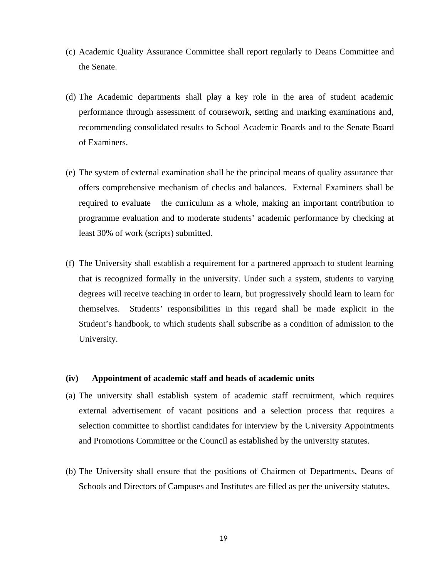- (c) Academic Quality Assurance Committee shall report regularly to Deans Committee and the Senate.
- (d) The Academic departments shall play a key role in the area of student academic performance through assessment of coursework, setting and marking examinations and, recommending consolidated results to School Academic Boards and to the Senate Board of Examiners.
- (e) The system of external examination shall be the principal means of quality assurance that offers comprehensive mechanism of checks and balances. External Examiners shall be required to evaluate the curriculum as a whole, making an important contribution to programme evaluation and to moderate students' academic performance by checking at least 30% of work (scripts) submitted.
- (f) The University shall establish a requirement for a partnered approach to student learning that is recognized formally in the university. Under such a system, students to varying degrees will receive teaching in order to learn, but progressively should learn to learn for themselves. Students' responsibilities in this regard shall be made explicit in the Student's handbook, to which students shall subscribe as a condition of admission to the University.

#### <span id="page-18-0"></span>**(iv) Appointment of academic staff and heads of academic units**

- (a) The university shall establish system of academic staff recruitment, which requires external advertisement of vacant positions and a selection process that requires a selection committee to shortlist candidates for interview by the University Appointments and Promotions Committee or the Council as established by the university statutes.
- (b) The University shall ensure that the positions of Chairmen of Departments, Deans of Schools and Directors of Campuses and Institutes are filled as per the university statutes.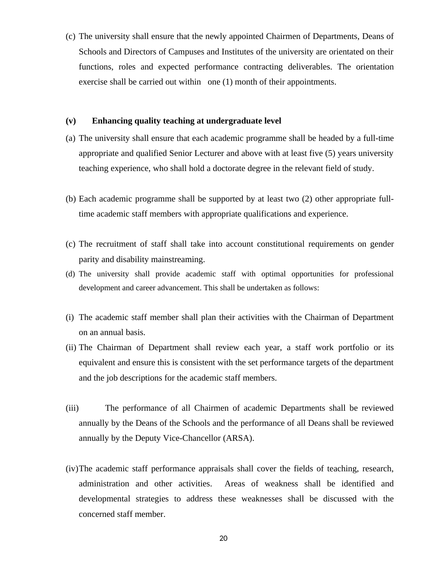(c) The university shall ensure that the newly appointed Chairmen of Departments, Deans of Schools and Directors of Campuses and Institutes of the university are orientated on their functions, roles and expected performance contracting deliverables. The orientation exercise shall be carried out within one (1) month of their appointments.

#### <span id="page-19-0"></span>**(v) Enhancing quality teaching at undergraduate level**

- (a) The university shall ensure that each academic programme shall be headed by a full-time appropriate and qualified Senior Lecturer and above with at least five (5) years university teaching experience, who shall hold a doctorate degree in the relevant field of study.
- (b) Each academic programme shall be supported by at least two (2) other appropriate fulltime academic staff members with appropriate qualifications and experience.
- (c) The recruitment of staff shall take into account constitutional requirements on gender parity and disability mainstreaming.
- (d) The university shall provide academic staff with optimal opportunities for professional development and career advancement. This shall be undertaken as follows:
- (i) The academic staff member shall plan their activities with the Chairman of Department on an annual basis.
- (ii) The Chairman of Department shall review each year, a staff work portfolio or its equivalent and ensure this is consistent with the set performance targets of the department and the job descriptions for the academic staff members.
- (iii) The performance of all Chairmen of academic Departments shall be reviewed annually by the Deans of the Schools and the performance of all Deans shall be reviewed annually by the Deputy Vice-Chancellor (ARSA).
- (iv)The academic staff performance appraisals shall cover the fields of teaching, research, administration and other activities. Areas of weakness shall be identified and developmental strategies to address these weaknesses shall be discussed with the concerned staff member.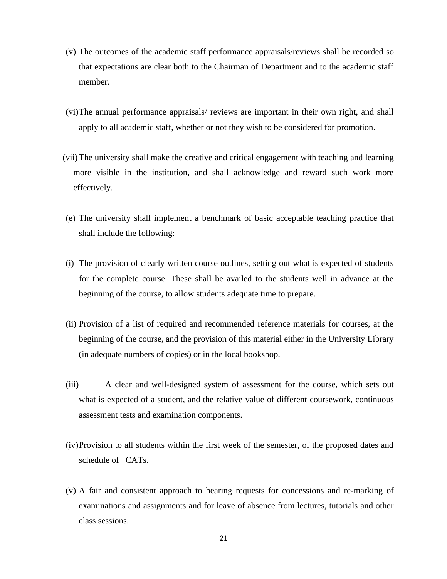- (v) The outcomes of the academic staff performance appraisals/reviews shall be recorded so that expectations are clear both to the Chairman of Department and to the academic staff member.
- (vi)The annual performance appraisals/ reviews are important in their own right, and shall apply to all academic staff, whether or not they wish to be considered for promotion.
- (vii)The university shall make the creative and critical engagement with teaching and learning more visible in the institution, and shall acknowledge and reward such work more effectively.
- (e) The university shall implement a benchmark of basic acceptable teaching practice that shall include the following:
- (i) The provision of clearly written course outlines, setting out what is expected of students for the complete course. These shall be availed to the students well in advance at the beginning of the course, to allow students adequate time to prepare.
- (ii) Provision of a list of required and recommended reference materials for courses, at the beginning of the course, and the provision of this material either in the University Library (in adequate numbers of copies) or in the local bookshop.
- (iii) A clear and well-designed system of assessment for the course, which sets out what is expected of a student, and the relative value of different coursework, continuous assessment tests and examination components.
- (iv)Provision to all students within the first week of the semester, of the proposed dates and schedule of CATs.
- (v) A fair and consistent approach to hearing requests for concessions and re-marking of examinations and assignments and for leave of absence from lectures, tutorials and other class sessions.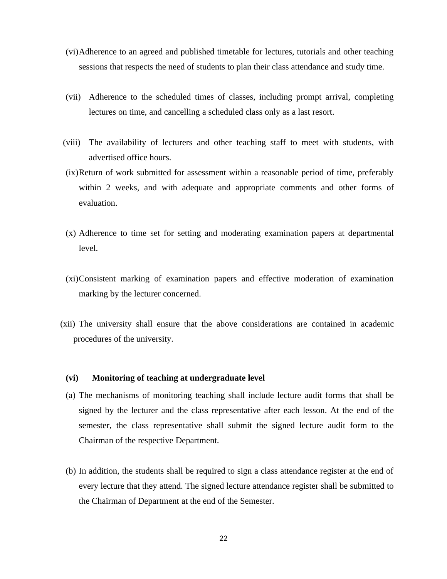- (vi)Adherence to an agreed and published timetable for lectures, tutorials and other teaching sessions that respects the need of students to plan their class attendance and study time.
- (vii) Adherence to the scheduled times of classes, including prompt arrival, completing lectures on time, and cancelling a scheduled class only as a last resort.
- (viii) The availability of lecturers and other teaching staff to meet with students, with advertised office hours.
- (ix)Return of work submitted for assessment within a reasonable period of time, preferably within 2 weeks, and with adequate and appropriate comments and other forms of evaluation.
- (x) Adherence to time set for setting and moderating examination papers at departmental level.
- (xi)Consistent marking of examination papers and effective moderation of examination marking by the lecturer concerned.
- (xii) The university shall ensure that the above considerations are contained in academic procedures of the university.

#### <span id="page-21-0"></span>**(vi) Monitoring of teaching at undergraduate level**

- (a) The mechanisms of monitoring teaching shall include lecture audit forms that shall be signed by the lecturer and the class representative after each lesson. At the end of the semester, the class representative shall submit the signed lecture audit form to the Chairman of the respective Department.
- (b) In addition, the students shall be required to sign a class attendance register at the end of every lecture that they attend. The signed lecture attendance register shall be submitted to the Chairman of Department at the end of the Semester.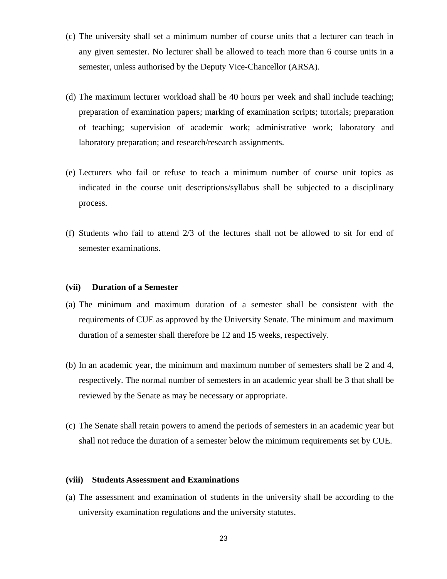- (c) The university shall set a minimum number of course units that a lecturer can teach in any given semester. No lecturer shall be allowed to teach more than 6 course units in a semester, unless authorised by the Deputy Vice-Chancellor (ARSA).
- (d) The maximum lecturer workload shall be 40 hours per week and shall include teaching; preparation of examination papers; marking of examination scripts; tutorials; preparation of teaching; supervision of academic work; administrative work; laboratory and laboratory preparation; and research/research assignments*.*
- (e) Lecturers who fail or refuse to teach a minimum number of course unit topics as indicated in the course unit descriptions/syllabus shall be subjected to a disciplinary process.
- (f) Students who fail to attend 2/3 of the lectures shall not be allowed to sit for end of semester examinations.

#### <span id="page-22-0"></span>**(vii) Duration of a Semester**

- (a) The minimum and maximum duration of a semester shall be consistent with the requirements of CUE as approved by the University Senate. The minimum and maximum duration of a semester shall therefore be 12 and 15 weeks, respectively.
- (b) In an academic year, the minimum and maximum number of semesters shall be 2 and 4, respectively. The normal number of semesters in an academic year shall be 3 that shall be reviewed by the Senate as may be necessary or appropriate.
- (c) The Senate shall retain powers to amend the periods of semesters in an academic year but shall not reduce the duration of a semester below the minimum requirements set by CUE.

#### <span id="page-22-1"></span>**(viii) Students Assessment and Examinations**

(a) The assessment and examination of students in the university shall be according to the university examination regulations and the university statutes.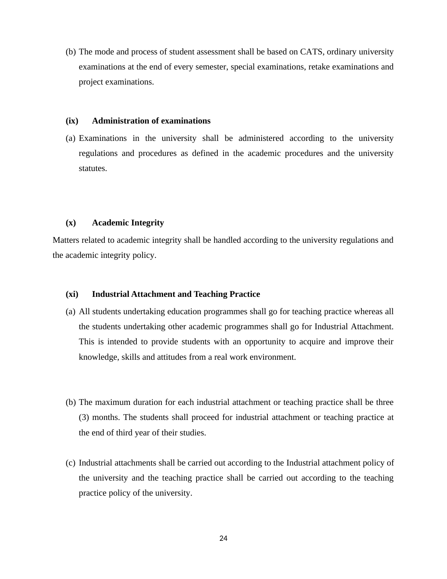(b) The mode and process of student assessment shall be based on CATS, ordinary university examinations at the end of every semester, special examinations, retake examinations and project examinations.

#### <span id="page-23-0"></span>**(ix) Administration of examinations**

(a) Examinations in the university shall be administered according to the university regulations and procedures as defined in the academic procedures and the university statutes.

#### <span id="page-23-1"></span>**(x) Academic Integrity**

Matters related to academic integrity shall be handled according to the university regulations and the academic integrity policy.

#### <span id="page-23-2"></span>**(xi) Industrial Attachment and Teaching Practice**

- (a) All students undertaking education programmes shall go for teaching practice whereas all the students undertaking other academic programmes shall go for Industrial Attachment. This is intended to provide students with an opportunity to acquire and improve their knowledge, skills and attitudes from a real work environment.
- (b) The maximum duration for each industrial attachment or teaching practice shall be three (3) months. The students shall proceed for industrial attachment or teaching practice at the end of third year of their studies.
- (c) Industrial attachments shall be carried out according to the Industrial attachment policy of the university and the teaching practice shall be carried out according to the teaching practice policy of the university.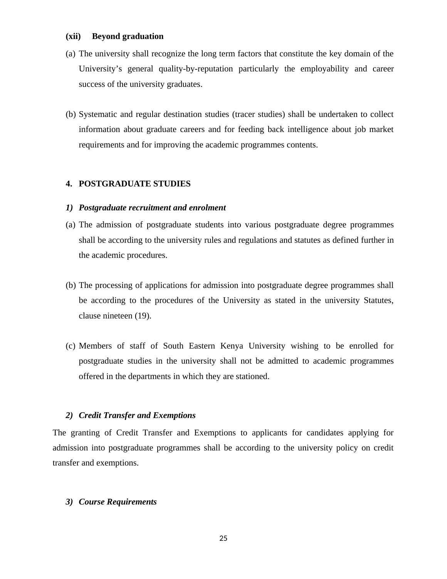#### <span id="page-24-0"></span>**(xii) Beyond graduation**

- (a) The university shall recognize the long term factors that constitute the key domain of the University's general quality-by-reputation particularly the employability and career success of the university graduates.
- (b) Systematic and regular destination studies (tracer studies) shall be undertaken to collect information about graduate careers and for feeding back intelligence about job market requirements and for improving the academic programmes contents.

#### <span id="page-24-1"></span>**4. POSTGRADUATE STUDIES**

#### <span id="page-24-2"></span>*1) Postgraduate recruitment and enrolment*

- (a) The admission of postgraduate students into various postgraduate degree programmes shall be according to the university rules and regulations and statutes as defined further in the academic procedures.
- (b) The processing of applications for admission into postgraduate degree programmes shall be according to the procedures of the University as stated in the university Statutes, clause nineteen (19).
- (c) Members of staff of South Eastern Kenya University wishing to be enrolled for postgraduate studies in the university shall not be admitted to academic programmes offered in the departments in which they are stationed.

#### <span id="page-24-3"></span>*2) Credit Transfer and Exemptions*

The granting of Credit Transfer and Exemptions to applicants for candidates applying for admission into postgraduate programmes shall be according to the university policy on credit transfer and exemptions.

#### <span id="page-24-4"></span>*3) Course Requirements*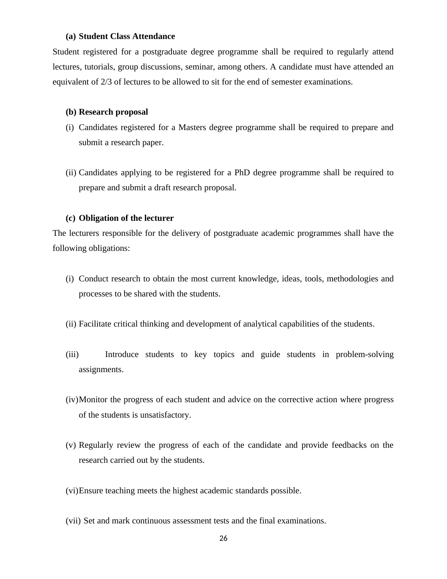#### **(a) Student Class Attendance**

Student registered for a postgraduate degree programme shall be required to regularly attend lectures, tutorials, group discussions, seminar, among others. A candidate must have attended an equivalent of 2/3 of lectures to be allowed to sit for the end of semester examinations.

#### **(b) Research proposal**

- (i) Candidates registered for a Masters degree programme shall be required to prepare and submit a research paper.
- (ii) Candidates applying to be registered for a PhD degree programme shall be required to prepare and submit a draft research proposal.

#### **(c) Obligation of the lecturer**

The lecturers responsible for the delivery of postgraduate academic programmes shall have the following obligations:

- (i) Conduct research to obtain the most current knowledge, ideas, tools, methodologies and processes to be shared with the students.
- (ii) Facilitate critical thinking and development of analytical capabilities of the students.
- (iii) Introduce students to key topics and guide students in problem-solving assignments.
- (iv)Monitor the progress of each student and advice on the corrective action where progress of the students is unsatisfactory.
- (v) Regularly review the progress of each of the candidate and provide feedbacks on the research carried out by the students.
- (vi)Ensure teaching meets the highest academic standards possible.
- (vii) Set and mark continuous assessment tests and the final examinations.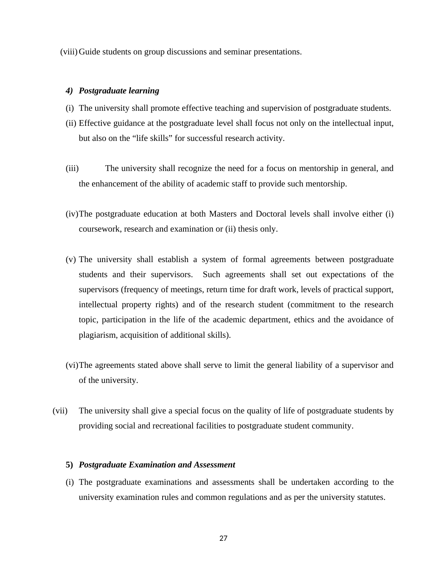(viii)Guide students on group discussions and seminar presentations.

#### <span id="page-26-0"></span>*4) Postgraduate learning*

- (i) The university shall promote effective teaching and supervision of postgraduate students.
- (ii) Effective guidance at the postgraduate level shall focus not only on the intellectual input, but also on the "life skills" for successful research activity.
- (iii) The university shall recognize the need for a focus on mentorship in general, and the enhancement of the ability of academic staff to provide such mentorship.
- (iv)The postgraduate education at both Masters and Doctoral levels shall involve either (i) coursework, research and examination or (ii) thesis only.
- (v) The university shall establish a system of formal agreements between postgraduate students and their supervisors. Such agreements shall set out expectations of the supervisors (frequency of meetings, return time for draft work, levels of practical support, intellectual property rights) and of the research student (commitment to the research topic, participation in the life of the academic department, ethics and the avoidance of plagiarism, acquisition of additional skills).
- (vi)The agreements stated above shall serve to limit the general liability of a supervisor and of the university.
- (vii) The university shall give a special focus on the quality of life of postgraduate students by providing social and recreational facilities to postgraduate student community.

#### <span id="page-26-1"></span>**5)** *Postgraduate Examination and Assessment*

(i) The postgraduate examinations and assessments shall be undertaken according to the university examination rules and common regulations and as per the university statutes.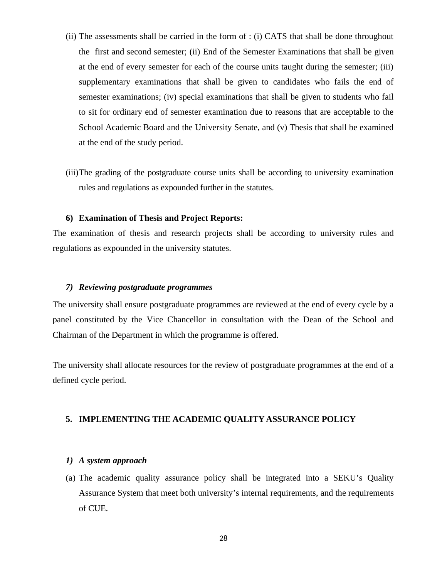- (ii) The assessments shall be carried in the form of : (i) CATS that shall be done throughout the first and second semester; (ii) End of the Semester Examinations that shall be given at the end of every semester for each of the course units taught during the semester; (iii) supplementary examinations that shall be given to candidates who fails the end of semester examinations; (iv) special examinations that shall be given to students who fail to sit for ordinary end of semester examination due to reasons that are acceptable to the School Academic Board and the University Senate, and (v) Thesis that shall be examined at the end of the study period.
- (iii)The grading of the postgraduate course units shall be according to university examination rules and regulations as expounded further in the statutes.

#### **6) Examination of Thesis and Project Reports:**

The examination of thesis and research projects shall be according to university rules and regulations as expounded in the university statutes.

#### <span id="page-27-0"></span>*7) Reviewing postgraduate programmes*

The university shall ensure postgraduate programmes are reviewed at the end of every cycle by a panel constituted by the Vice Chancellor in consultation with the Dean of the School and Chairman of the Department in which the programme is offered.

The university shall allocate resources for the review of postgraduate programmes at the end of a defined cycle period.

#### <span id="page-27-1"></span>**5. IMPLEMENTING THE ACADEMIC QUALITY ASSURANCE POLICY**

#### <span id="page-27-2"></span>*1) A system approach*

(a) The academic quality assurance policy shall be integrated into a SEKU's Quality Assurance System that meet both university's internal requirements, and the requirements of CUE.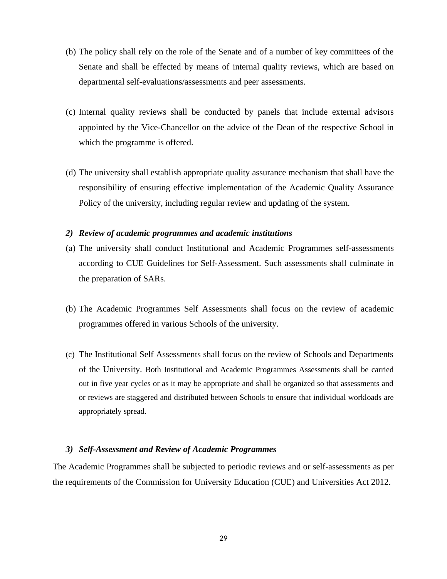- (b) The policy shall rely on the role of the Senate and of a number of key committees of the Senate and shall be effected by means of internal quality reviews, which are based on departmental self-evaluations/assessments and peer assessments.
- (c) Internal quality reviews shall be conducted by panels that include external advisors appointed by the Vice-Chancellor on the advice of the Dean of the respective School in which the programme is offered.
- (d) The university shall establish appropriate quality assurance mechanism that shall have the responsibility of ensuring effective implementation of the Academic Quality Assurance Policy of the university, including regular review and updating of the system.

#### *2) Review of academic programmes and academic institutions*

- (a) The university shall conduct Institutional and Academic Programmes self-assessments according to CUE Guidelines for Self-Assessment. Such assessments shall culminate in the preparation of SARs.
- (b) The Academic Programmes Self Assessments shall focus on the review of academic programmes offered in various Schools of the university.
- (c) The Institutional Self Assessments shall focus on the review of Schools and Departments of the University. Both Institutional and Academic Programmes Assessments shall be carried out in five year cycles or as it may be appropriate and shall be organized so that assessments and or reviews are staggered and distributed between Schools to ensure that individual workloads are appropriately spread.

#### <span id="page-28-0"></span>*3) Self-Assessment and Review of Academic Programmes*

The Academic Programmes shall be subjected to periodic reviews and or self-assessments as per the requirements of the Commission for University Education (CUE) and Universities Act 2012.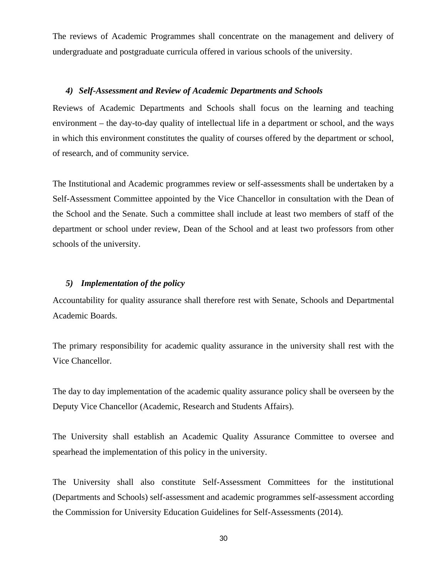The reviews of Academic Programmes shall concentrate on the management and delivery of undergraduate and postgraduate curricula offered in various schools of the university.

#### <span id="page-29-0"></span>*4) Self-Assessment and Review of Academic Departments and Schools*

Reviews of Academic Departments and Schools shall focus on the learning and teaching environment – the day-to-day quality of intellectual life in a department or school, and the ways in which this environment constitutes the quality of courses offered by the department or school, of research, and of community service.

The Institutional and Academic programmes review or self-assessments shall be undertaken by a Self-Assessment Committee appointed by the Vice Chancellor in consultation with the Dean of the School and the Senate. Such a committee shall include at least two members of staff of the department or school under review, Dean of the School and at least two professors from other schools of the university.

#### <span id="page-29-1"></span>*5) Implementation of the policy*

Accountability for quality assurance shall therefore rest with Senate, Schools and Departmental Academic Boards.

The primary responsibility for academic quality assurance in the university shall rest with the Vice Chancellor.

The day to day implementation of the academic quality assurance policy shall be overseen by the Deputy Vice Chancellor (Academic, Research and Students Affairs).

The University shall establish an Academic Quality Assurance Committee to oversee and spearhead the implementation of this policy in the university.

The University shall also constitute Self-Assessment Committees for the institutional (Departments and Schools) self-assessment and academic programmes self-assessment according the Commission for University Education Guidelines for Self-Assessments (2014).